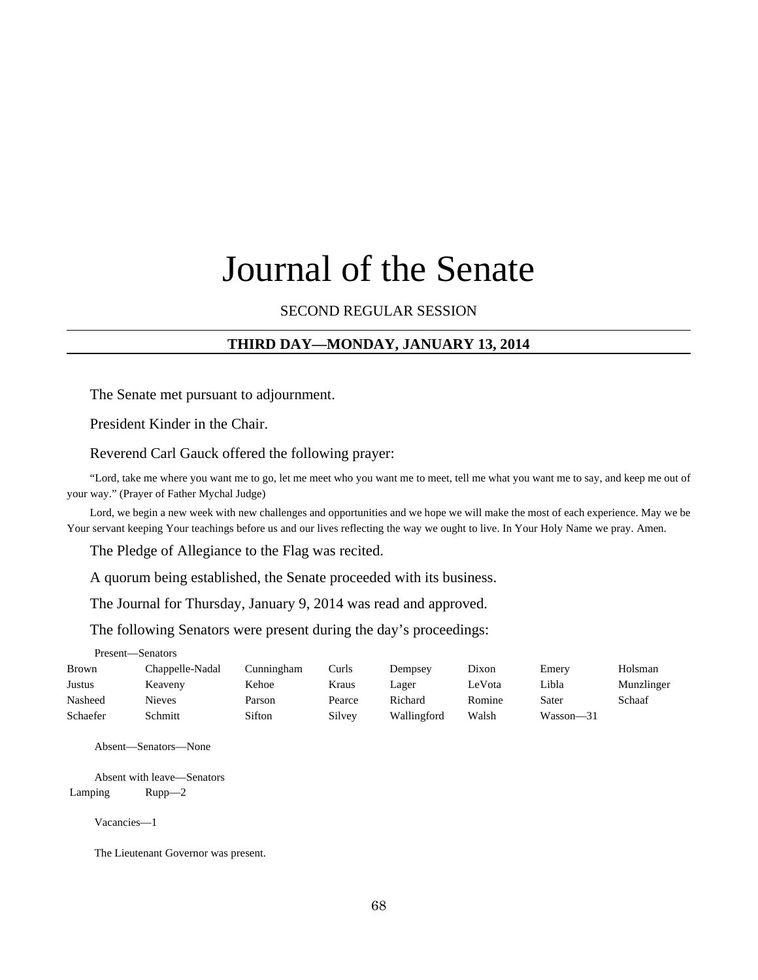# Journal of the Senate

# SECOND REGULAR SESSION

# **THIRD DAY—MONDAY, JANUARY 13, 2014**

The Senate met pursuant to adjournment.

President Kinder in the Chair.

Reverend Carl Gauck offered the following prayer:

"Lord, take me where you want me to go, let me meet who you want me to meet, tell me what you want me to say, and keep me out of your way." (Prayer of Father Mychal Judge)

Lord, we begin a new week with new challenges and opportunities and we hope we will make the most of each experience. May we be Your servant keeping Your teachings before us and our lives reflecting the way we ought to live. In Your Holy Name we pray. Amen.

The Pledge of Allegiance to the Flag was recited.

A quorum being established, the Senate proceeded with its business.

The Journal for Thursday, January 9, 2014 was read and approved.

The following Senators were present during the day's proceedings:

Present—Senators

| <b>Brown</b> | Chappelle-Nadal | Cunningham | Curls  | Dempsey     | Dixon  | Emery     | Holsman    |
|--------------|-----------------|------------|--------|-------------|--------|-----------|------------|
| Justus       | Keaveny         | Kehoe      | Kraus  | Lager       | LeVota | Libla     | Munzlinger |
| Nasheed      | <b>Nieves</b>   | Parson     | Pearce | Richard     | Romine | Sater     | Schaaf     |
| Schaefer     | Schmitt         | Sifton     | Silvey | Wallingford | Walsh  | Wasson-31 |            |

Absent—Senators—None

Absent with leave—Senators Lamping Rupp—2

Vacancies—1

The Lieutenant Governor was present.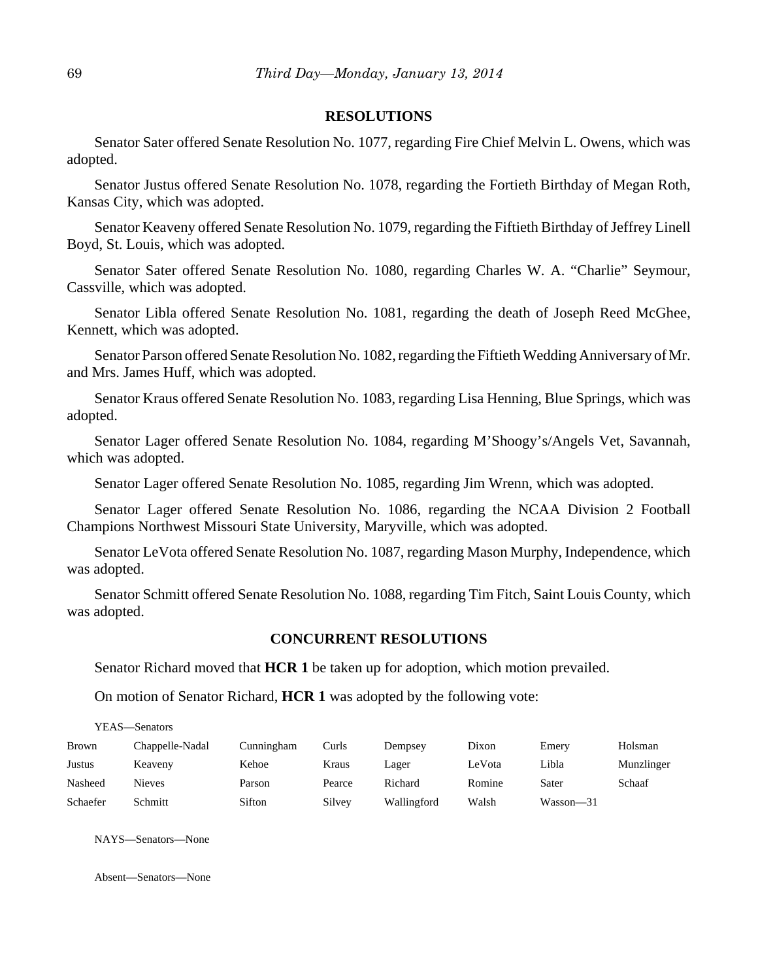#### **RESOLUTIONS**

Senator Sater offered Senate Resolution No. 1077, regarding Fire Chief Melvin L. Owens, which was adopted.

Senator Justus offered Senate Resolution No. 1078, regarding the Fortieth Birthday of Megan Roth, Kansas City, which was adopted.

Senator Keaveny offered Senate Resolution No. 1079, regarding the Fiftieth Birthday of Jeffrey Linell Boyd, St. Louis, which was adopted.

Senator Sater offered Senate Resolution No. 1080, regarding Charles W. A. "Charlie" Seymour, Cassville, which was adopted.

Senator Libla offered Senate Resolution No. 1081, regarding the death of Joseph Reed McGhee, Kennett, which was adopted.

Senator Parson offered Senate Resolution No. 1082, regarding the Fiftieth Wedding Anniversary of Mr. and Mrs. James Huff, which was adopted.

Senator Kraus offered Senate Resolution No. 1083, regarding Lisa Henning, Blue Springs, which was adopted.

Senator Lager offered Senate Resolution No. 1084, regarding M'Shoogy's/Angels Vet, Savannah, which was adopted.

Senator Lager offered Senate Resolution No. 1085, regarding Jim Wrenn, which was adopted.

Senator Lager offered Senate Resolution No. 1086, regarding the NCAA Division 2 Football Champions Northwest Missouri State University, Maryville, which was adopted.

Senator LeVota offered Senate Resolution No. 1087, regarding Mason Murphy, Independence, which was adopted.

Senator Schmitt offered Senate Resolution No. 1088, regarding Tim Fitch, Saint Louis County, which was adopted.

## **CONCURRENT RESOLUTIONS**

Senator Richard moved that **HCR 1** be taken up for adoption, which motion prevailed.

On motion of Senator Richard, **HCR 1** was adopted by the following vote:

YEAS—Senators

| <b>Brown</b> | Chappelle-Nadal | Cunningham | Curls  | Dempsev     | Dixon  | Emery         | Holsman    |
|--------------|-----------------|------------|--------|-------------|--------|---------------|------------|
| Justus       | Keaveny         | Kehoe      | Kraus  | Lager       | LeVota | Libla         | Munzlinger |
| Nasheed      | <b>Nieves</b>   | Parson     | Pearce | Richard     | Romine | Sater         | Schaaf     |
| Schaefer     | Schmitt         | Sifton     | Silvey | Wallingford | Walsh  | $Wasson - 31$ |            |

NAYS—Senators—None

Absent—Senators—None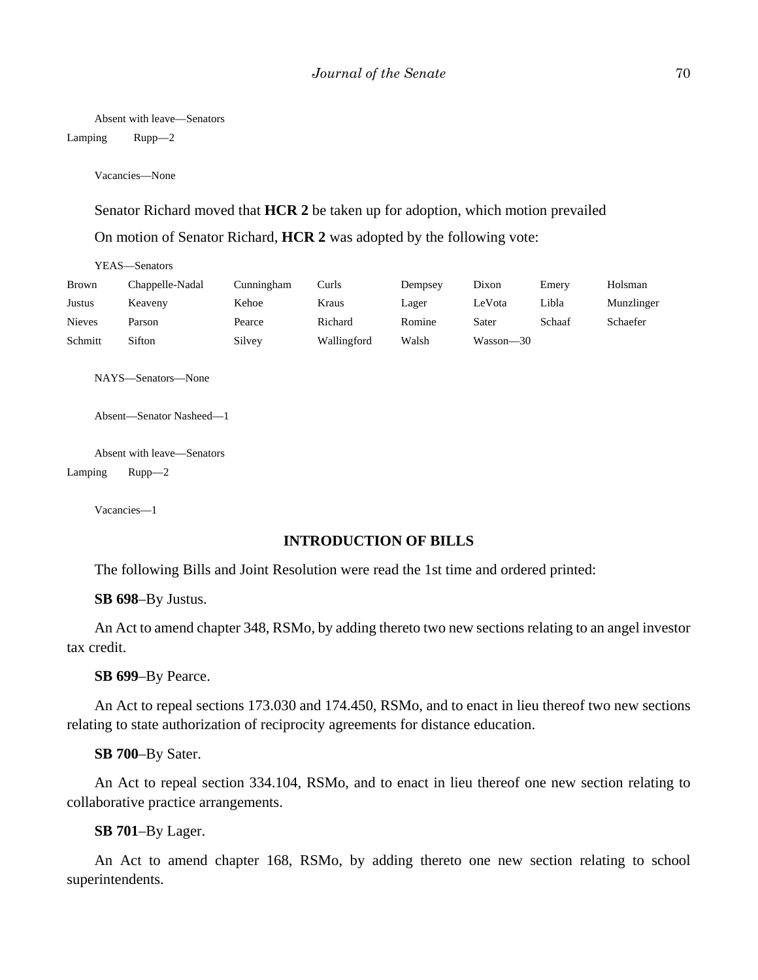Absent with leave—Senators

Lamping Rupp—2

Vacancies—None

Senator Richard moved that **HCR 2** be taken up for adoption, which motion prevailed On motion of Senator Richard, **HCR 2** was adopted by the following vote:

| YEAS—Senators |                 |            |             |         |           |        |            |
|---------------|-----------------|------------|-------------|---------|-----------|--------|------------|
| <b>Brown</b>  | Chappelle-Nadal | Cunningham | Curls       | Dempsey | Dixon     | Emery  | Holsman    |
| Justus        | Keaveny         | Kehoe      | Kraus       | Lager   | LeVota    | Libla  | Munzlinger |
| <b>Nieves</b> | Parson          | Pearce     | Richard     | Romine  | Sater     | Schaaf | Schaefer   |
| Schmitt       | Sifton          | Silvey     | Wallingford | Walsh   | Wasson—30 |        |            |

NAYS—Senators—None

Absent—Senator Nasheed—1

Absent with leave—Senators Lamping Rupp—2

Vacancies—1

#### **INTRODUCTION OF BILLS**

The following Bills and Joint Resolution were read the 1st time and ordered printed:

**SB 698**–By Justus.

An Act to amend chapter 348, RSMo, by adding thereto two new sections relating to an angel investor tax credit.

**SB 699**–By Pearce.

An Act to repeal sections 173.030 and 174.450, RSMo, and to enact in lieu thereof two new sections relating to state authorization of reciprocity agreements for distance education.

**SB 700**–By Sater.

An Act to repeal section 334.104, RSMo, and to enact in lieu thereof one new section relating to collaborative practice arrangements.

**SB 701**–By Lager.

An Act to amend chapter 168, RSMo, by adding thereto one new section relating to school superintendents.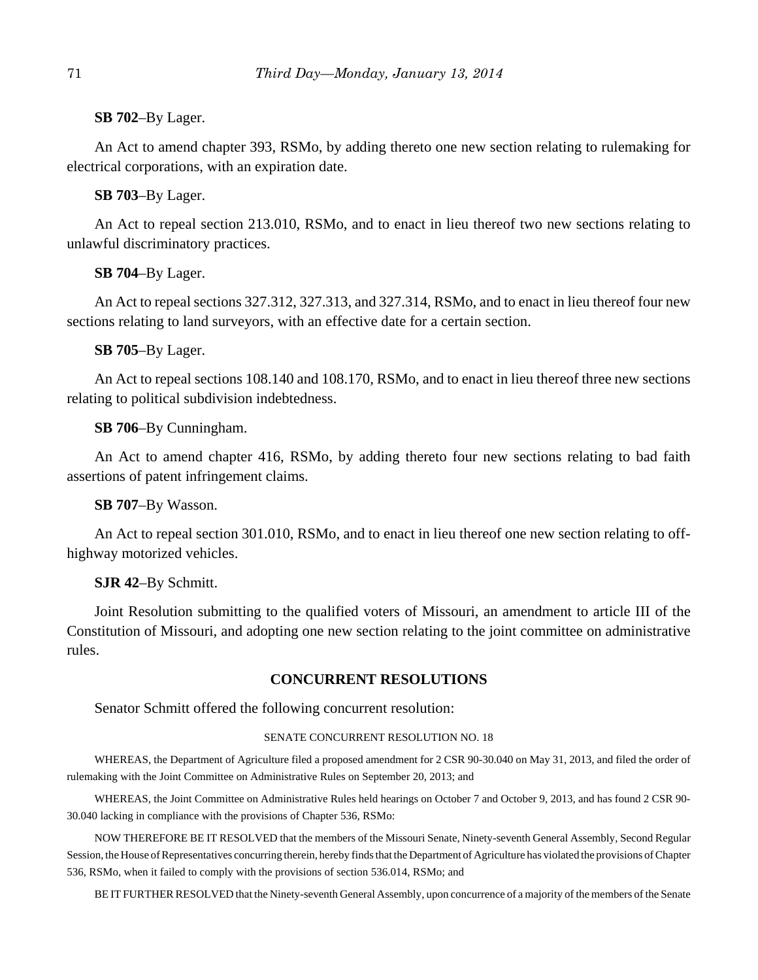**SB 702**–By Lager.

An Act to amend chapter 393, RSMo, by adding thereto one new section relating to rulemaking for electrical corporations, with an expiration date.

**SB 703**–By Lager.

An Act to repeal section 213.010, RSMo, and to enact in lieu thereof two new sections relating to unlawful discriminatory practices.

**SB 704**–By Lager.

An Act to repeal sections 327.312, 327.313, and 327.314, RSMo, and to enact in lieu thereof four new sections relating to land surveyors, with an effective date for a certain section.

**SB 705**–By Lager.

An Act to repeal sections 108.140 and 108.170, RSMo, and to enact in lieu thereof three new sections relating to political subdivision indebtedness.

**SB 706**–By Cunningham.

An Act to amend chapter 416, RSMo, by adding thereto four new sections relating to bad faith assertions of patent infringement claims.

**SB 707**–By Wasson.

An Act to repeal section 301.010, RSMo, and to enact in lieu thereof one new section relating to offhighway motorized vehicles.

**SJR 42**–By Schmitt.

Joint Resolution submitting to the qualified voters of Missouri, an amendment to article III of the Constitution of Missouri, and adopting one new section relating to the joint committee on administrative rules.

# **CONCURRENT RESOLUTIONS**

Senator Schmitt offered the following concurrent resolution:

#### SENATE CONCURRENT RESOLUTION NO. 18

WHEREAS, the Department of Agriculture filed a proposed amendment for 2 CSR 90-30.040 on May 31, 2013, and filed the order of rulemaking with the Joint Committee on Administrative Rules on September 20, 2013; and

WHEREAS, the Joint Committee on Administrative Rules held hearings on October 7 and October 9, 2013, and has found 2 CSR 90- 30.040 lacking in compliance with the provisions of Chapter 536, RSMo:

NOW THEREFORE BE IT RESOLVED that the members of the Missouri Senate, Ninety-seventh General Assembly, Second Regular Session, the House of Representatives concurring therein, hereby finds that the Department of Agriculture has violated the provisions of Chapter 536, RSMo, when it failed to comply with the provisions of section 536.014, RSMo; and

BE IT FURTHER RESOLVED that the Ninety-seventh General Assembly, upon concurrence of a majority of the members of the Senate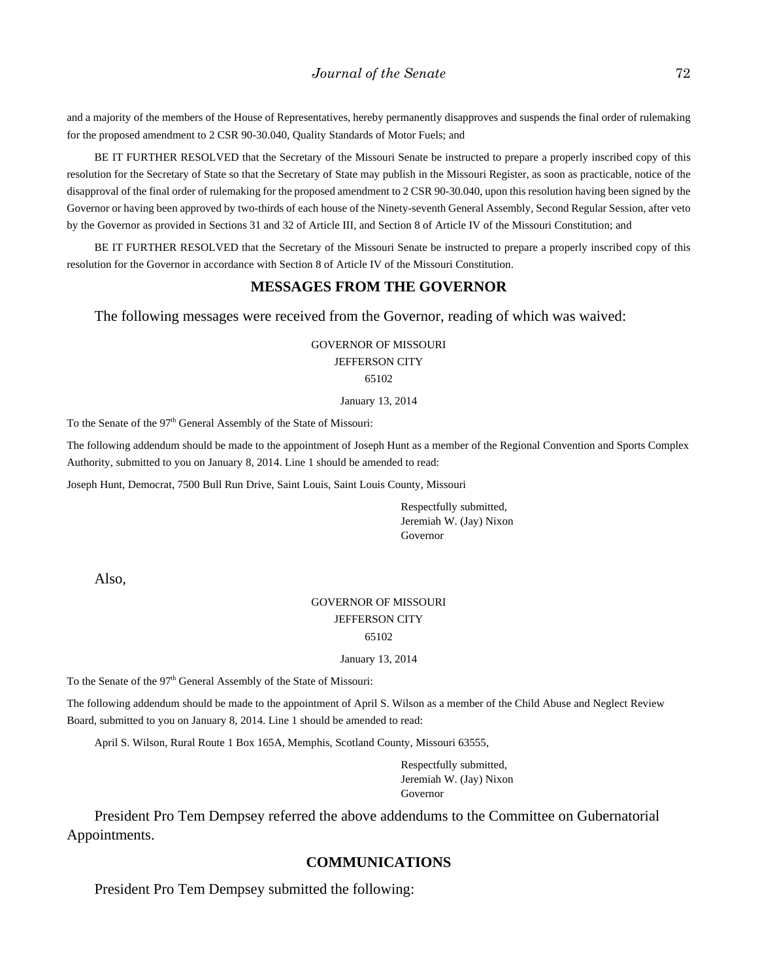and a majority of the members of the House of Representatives, hereby permanently disapproves and suspends the final order of rulemaking for the proposed amendment to 2 CSR 90-30.040, Quality Standards of Motor Fuels; and

BE IT FURTHER RESOLVED that the Secretary of the Missouri Senate be instructed to prepare a properly inscribed copy of this resolution for the Secretary of State so that the Secretary of State may publish in the Missouri Register, as soon as practicable, notice of the disapproval of the final order of rulemaking for the proposed amendment to 2 CSR 90-30.040, upon this resolution having been signed by the Governor or having been approved by two-thirds of each house of the Ninety-seventh General Assembly, Second Regular Session, after veto by the Governor as provided in Sections 31 and 32 of Article III, and Section 8 of Article IV of the Missouri Constitution; and

BE IT FURTHER RESOLVED that the Secretary of the Missouri Senate be instructed to prepare a properly inscribed copy of this resolution for the Governor in accordance with Section 8 of Article IV of the Missouri Constitution.

# **MESSAGES FROM THE GOVERNOR**

The following messages were received from the Governor, reading of which was waived:

GOVERNOR OF MISSOURI JEFFERSON CITY 65102

January 13, 2014

To the Senate of the 97<sup>th</sup> General Assembly of the State of Missouri:

The following addendum should be made to the appointment of Joseph Hunt as a member of the Regional Convention and Sports Complex Authority, submitted to you on January 8, 2014. Line 1 should be amended to read:

Joseph Hunt, Democrat, 7500 Bull Run Drive, Saint Louis, Saint Louis County, Missouri

Respectfully submitted, Jeremiah W. (Jay) Nixon Governor

Also,

## GOVERNOR OF MISSOURI JEFFERSON CITY 65102

January 13, 2014

To the Senate of the 97<sup>th</sup> General Assembly of the State of Missouri:

The following addendum should be made to the appointment of April S. Wilson as a member of the Child Abuse and Neglect Review Board, submitted to you on January 8, 2014. Line 1 should be amended to read:

April S. Wilson, Rural Route 1 Box 165A, Memphis, Scotland County, Missouri 63555,

Respectfully submitted, Jeremiah W. (Jay) Nixon Governor

President Pro Tem Dempsey referred the above addendums to the Committee on Gubernatorial Appointments.

#### **COMMUNICATIONS**

President Pro Tem Dempsey submitted the following: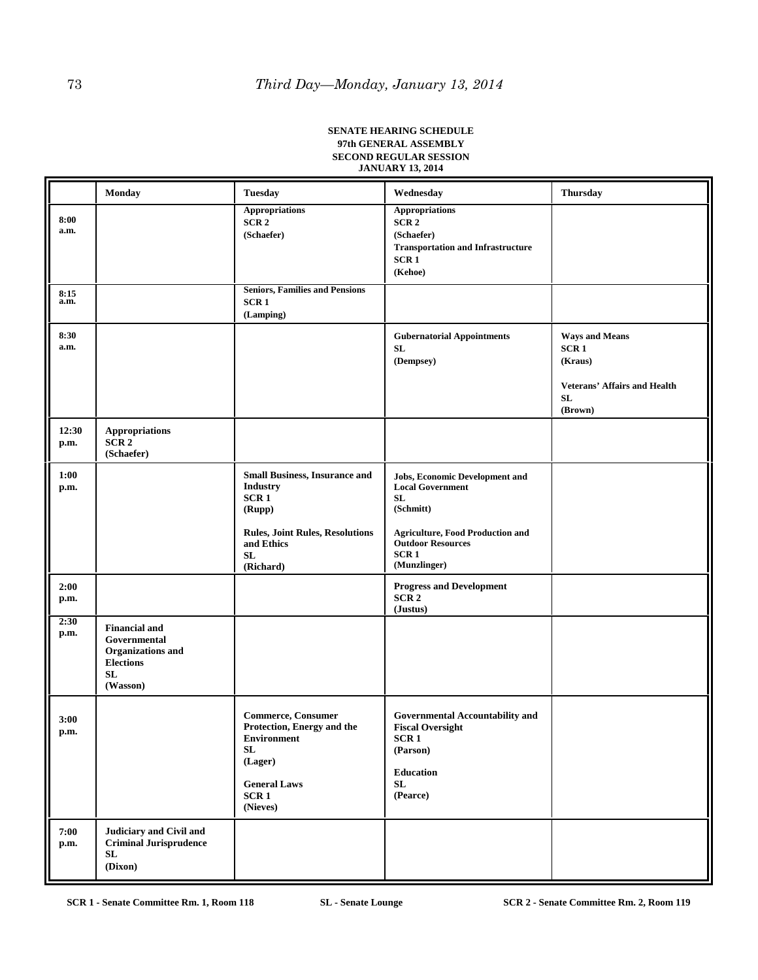#### **SENATE HEARING SCHEDULE 97th GENERAL ASSEMBLY SECOND REGULAR SESSION JANUARY 13, 2014**

|               | <b>Monday</b>                                                                                          | <b>Tuesday</b>                                                                                                                                       | Wednesday                                                                                                                                                                                             | <b>Thursday</b>                                                                                              |
|---------------|--------------------------------------------------------------------------------------------------------|------------------------------------------------------------------------------------------------------------------------------------------------------|-------------------------------------------------------------------------------------------------------------------------------------------------------------------------------------------------------|--------------------------------------------------------------------------------------------------------------|
| 8:00<br>a.m.  |                                                                                                        | <b>Appropriations</b><br>SCR <sub>2</sub><br>(Schaefer)                                                                                              | <b>Appropriations</b><br>SCR <sub>2</sub><br>(Schaefer)<br><b>Transportation and Infrastructure</b><br>SCR <sub>1</sub><br>(Kehoe)                                                                    |                                                                                                              |
| 8:15<br>a.m.  |                                                                                                        | <b>Seniors, Families and Pensions</b><br>SCR <sub>1</sub><br>(Lamping)                                                                               |                                                                                                                                                                                                       |                                                                                                              |
| 8:30<br>a.m.  |                                                                                                        |                                                                                                                                                      | <b>Gubernatorial Appointments</b><br>SL<br>(Dempsey)                                                                                                                                                  | <b>Ways and Means</b><br>SCR <sub>1</sub><br>(Kraus)<br><b>Veterans' Affairs and Health</b><br>SL<br>(Brown) |
| 12:30<br>p.m. | <b>Appropriations</b><br>SCR <sub>2</sub><br>(Schaefer)                                                |                                                                                                                                                      |                                                                                                                                                                                                       |                                                                                                              |
| 1:00<br>p.m.  |                                                                                                        | <b>Small Business, Insurance and</b><br><b>Industry</b><br>SCR1<br>(Rupp)<br><b>Rules, Joint Rules, Resolutions</b><br>and Ethics<br>SL<br>(Richard) | <b>Jobs, Economic Development and</b><br><b>Local Government</b><br><b>SL</b><br>(Schmitt)<br><b>Agriculture, Food Production and</b><br><b>Outdoor Resources</b><br>SCR <sub>1</sub><br>(Munzlinger) |                                                                                                              |
| 2:00<br>p.m.  |                                                                                                        |                                                                                                                                                      | <b>Progress and Development</b><br>SCR <sub>2</sub><br>(Justus)                                                                                                                                       |                                                                                                              |
| 2:30<br>p.m.  | <b>Financial and</b><br>Governmental<br><b>Organizations</b> and<br><b>Elections</b><br>SL<br>(Wasson) |                                                                                                                                                      |                                                                                                                                                                                                       |                                                                                                              |
| 3:00<br>p.m.  |                                                                                                        | <b>Commerce, Consumer</b><br>Protection, Energy and the<br>Environment<br>SL<br>(Lager)<br><b>General Laws</b><br>SCR <sub>1</sub><br>(Nieves)       | <b>Governmental Accountability and</b><br><b>Fiscal Oversight</b><br>SCR 1<br>(Parson)<br><b>Education</b><br>SL<br>(Pearce)                                                                          |                                                                                                              |
| 7:00<br>p.m.  | <b>Judiciary and Civil and</b><br><b>Criminal Jurisprudence</b><br>SL<br>(Dixon)                       |                                                                                                                                                      |                                                                                                                                                                                                       |                                                                                                              |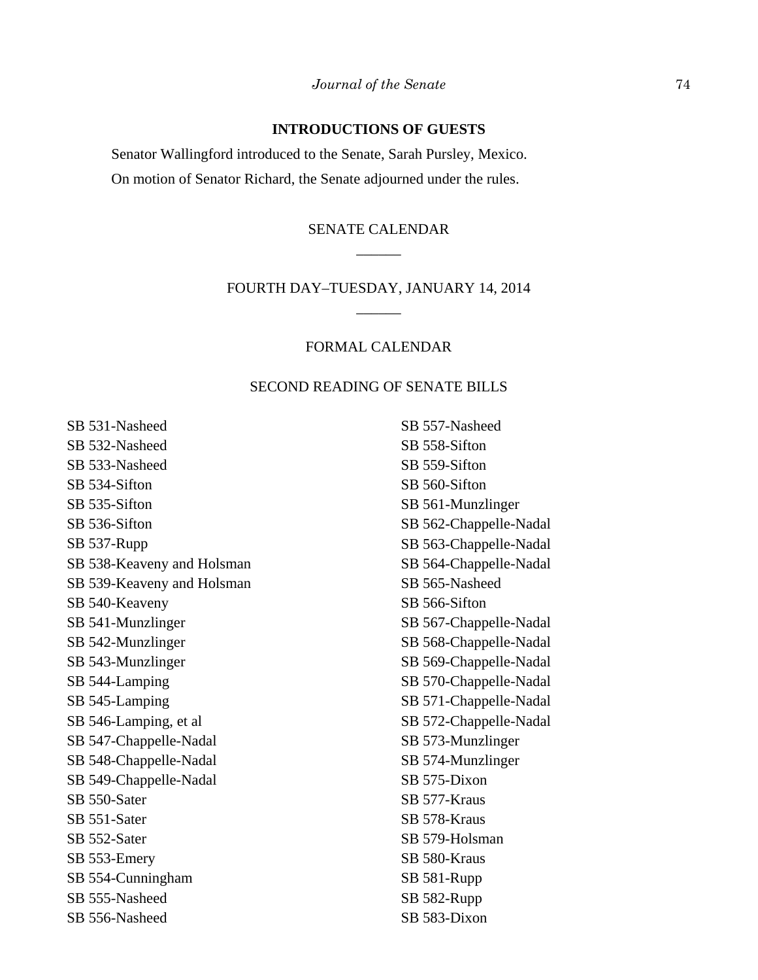# **INTRODUCTIONS OF GUESTS**

Senator Wallingford introduced to the Senate, Sarah Pursley, Mexico. On motion of Senator Richard, the Senate adjourned under the rules.

# SENATE CALENDAR  $\overline{\phantom{a}}$

# FOURTH DAY–TUESDAY, JANUARY 14, 2014 \_\_\_\_\_\_

# FORMAL CALENDAR

## SECOND READING OF SENATE BILLS

SB 531-Nasheed SB 532-Nasheed SB 533-Nasheed SB 534-Sifton SB 535-Sifton SB 536-Sifton SB 537-Rupp SB 538-Keaveny and Holsman SB 539-Keaveny and Holsman SB 540-Keaveny SB 541-Munzlinger SB 542-Munzlinger SB 543-Munzlinger SB 544-Lamping SB 545-Lamping SB 546-Lamping, et al SB 547-Chappelle-Nadal SB 548-Chappelle-Nadal SB 549-Chappelle-Nadal SB 550-Sater SB 551-Sater SB 552-Sater SB 553-Emery SB 554-Cunningham SB 555-Nasheed SB 556-Nasheed

SB 557-Nasheed SB 558-Sifton SB 559-Sifton SB 560-Sifton SB 561-Munzlinger SB 562-Chappelle-Nadal SB 563-Chappelle-Nadal SB 564-Chappelle-Nadal SB 565-Nasheed SB 566-Sifton SB 567-Chappelle-Nadal SB 568-Chappelle-Nadal SB 569-Chappelle-Nadal SB 570-Chappelle-Nadal SB 571-Chappelle-Nadal SB 572-Chappelle-Nadal SB 573-Munzlinger SB 574-Munzlinger SB 575-Dixon SB 577-Kraus SB 578-Kraus SB 579-Holsman SB 580-Kraus SB 581-Rupp SB 582-Rupp SB 583-Dixon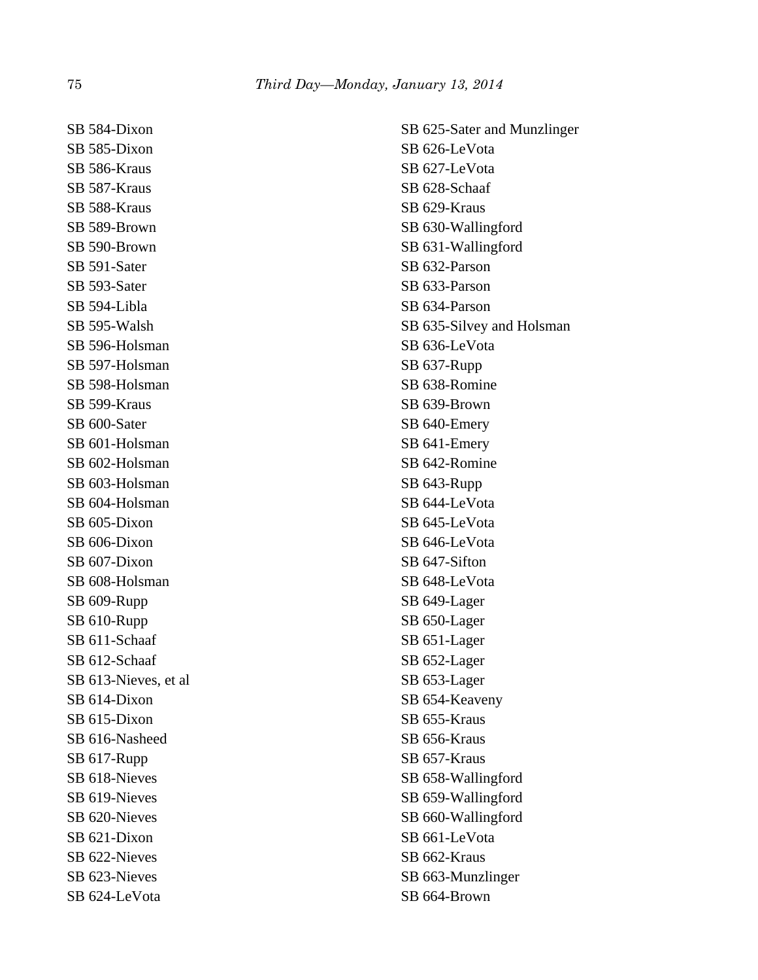SB 584-Dixon SB 585-Dixon SB 586-Kraus SB 587-Kraus SB 588-Kraus SB 589-Brown SB 590-Brown SB 591-Sater SB 593-Sater SB 594-Libla SB 595-Walsh SB 596-Holsman SB 597-Holsman SB 598-Holsman SB 599-Kraus SB 600-Sater SB 601-Holsman SB 602-Holsman SB 603-Holsman SB 604-Holsman SB 605-Dixon SB 606-Dixon SB 607-Dixon SB 608-Holsman SB 609-Rupp SB 610-Rupp SB 611-Schaaf SB 612-Schaaf SB 613-Nieves, et al SB 614-Dixon SB 615-Dixon SB 616-Nasheed SB 617-Rupp SB 618-Nieves SB 619-Nieves SB 620-Nieves SB 621-Dixon SB 622-Nieves SB 623-Nieves SB 624-LeVota

SB 625-Sater and Munzlinger SB 626-LeVota SB 627-LeVota SB 628-Schaaf SB 629-Kraus SB 630-Wallingford SB 631-Wallingford SB 632-Parson SB 633-Parson SB 634-Parson SB 635-Silvey and Holsman SB 636-LeVota SB 637-Rupp SB 638-Romine SB 639-Brown SB 640-Emery SB 641-Emery SB 642-Romine SB 643-Rupp SB 644-LeVota SB 645-LeVota SB 646-LeVota SB 647-Sifton SB 648-LeVota SB 649-Lager SB 650-Lager SB 651-Lager SB 652-Lager SB 653-Lager SB 654-Keaveny SB 655-Kraus SB 656-Kraus SB 657-Kraus SB 658-Wallingford SB 659-Wallingford SB 660-Wallingford SB 661-LeVota SB 662-Kraus SB 663-Munzlinger SB 664-Brown